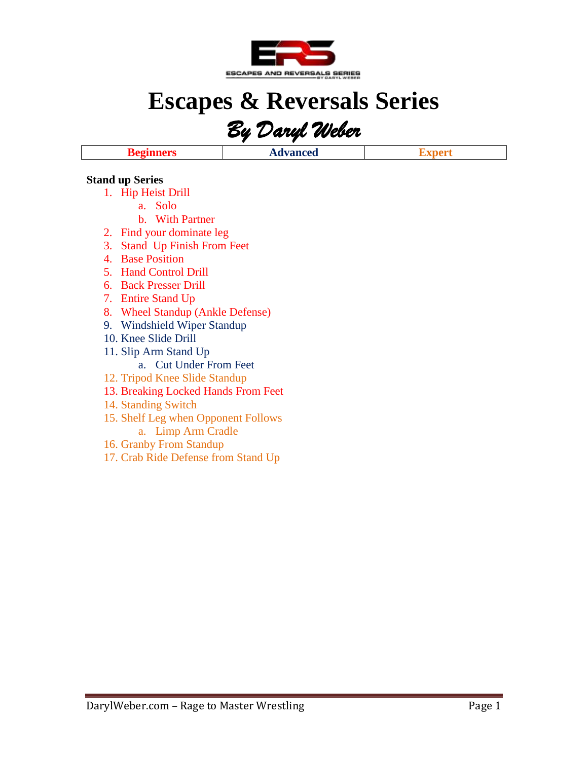

# **Escapes & Reversals Series**

*By Daryl Weber* 

**Beginners Advanced Expert**

#### **Stand up Series**

- 1. Hip Heist Drill
	- a. Solo
	- b. With Partner
- 2. Find your dominate leg
- 3. Stand Up Finish From Feet
- 4. Base Position
- 5. Hand Control Drill
- 6. Back Presser Drill
- 7. Entire Stand Up
- 8. Wheel Standup (Ankle Defense)
- 9. Windshield Wiper Standup
- 10. Knee Slide Drill
- 11. Slip Arm Stand Up
	- a. Cut Under From Feet
- 12. Tripod Knee Slide Standup
- 13. Breaking Locked Hands From Feet
- 14. Standing Switch
- 15. Shelf Leg when Opponent Follows
	- a. Limp Arm Cradle
- 16. Granby From Standup
- 17. Crab Ride Defense from Stand Up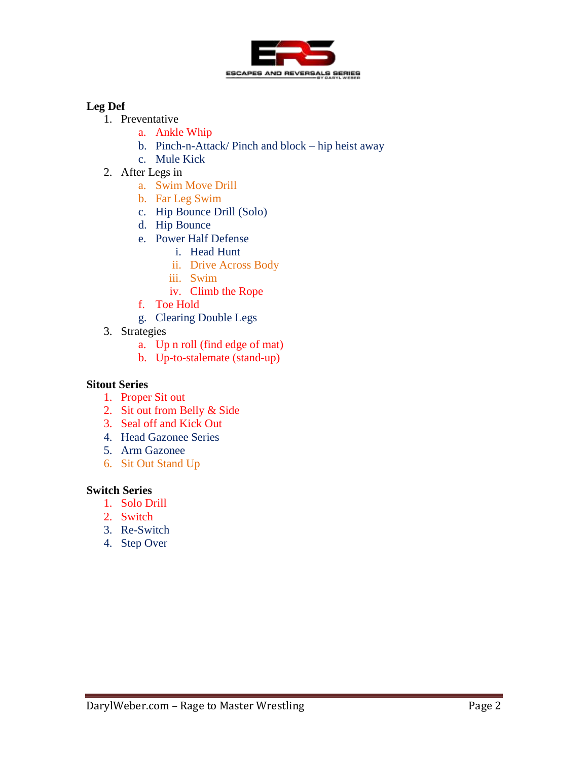

# **Leg Def**

- 1. Preventative
	- a. Ankle Whip
	- b. Pinch-n-Attack/ Pinch and block hip heist away
	- c. Mule Kick
- 2. After Legs in
	- a. Swim Move Drill
	- b. Far Leg Swim
	- c. Hip Bounce Drill (Solo)
	- d. Hip Bounce
	- e. Power Half Defense
		- i. Head Hunt
		- ii. Drive Across Body
		- iii. Swim
		- iv. Climb the Rope
	- f. Toe Hold
	- g. Clearing Double Legs
- 3. Strategies
	- a. Up n roll (find edge of mat)
	- b. Up-to-stalemate (stand-up)

## **Sitout Series**

- 1. Proper Sit out
- 2. Sit out from Belly & Side
- 3. Seal off and Kick Out
- 4. Head Gazonee Series
- 5. Arm Gazonee
- 6. Sit Out Stand Up

#### **Switch Series**

- 1. Solo Drill
- 2. Switch
- 3. Re-Switch
- 4. Step Over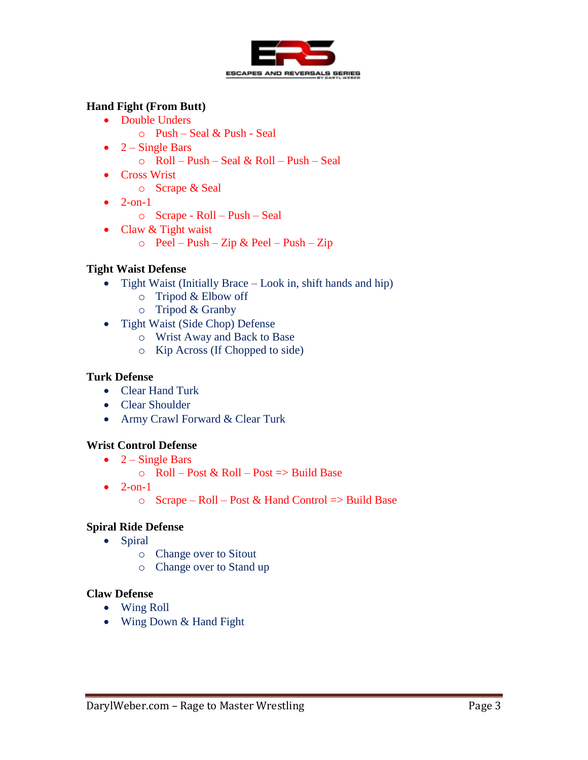

## **Hand Fight (From Butt)**

- Double Unders
	- o Push Seal & Push Seal
- $2 -$  Single Bars
	- o Roll Push Seal & Roll Push Seal
- Cross Wrist
	- o Scrape & Seal
- $\bullet$  2-on-1
	- o Scrape Roll Push Seal
- Claw & Tight waist
	- $\circ$  Peel Push Zip & Peel Push Zip

## **Tight Waist Defense**

- Tight Waist (Initially Brace Look in, shift hands and hip)
	- o Tripod & Elbow off
	- o Tripod & Granby
- Tight Waist (Side Chop) Defense
	- o Wrist Away and Back to Base
	- o Kip Across (If Chopped to side)

## **Turk Defense**

- Clear Hand Turk
- Clear Shoulder
- Army Crawl Forward & Clear Turk

## **Wrist Control Defense**

- $2 -$  Single Bars
	- $\circ$  Roll Post & Roll Post => Build Base
- $\bullet$  2-on-1
	- $\circ$  Scrape Roll Post & Hand Control => Build Base

## **Spiral Ride Defense**

- Spiral
	- o Change over to Sitout
	- o Change over to Stand up

#### **Claw Defense**

- Wing Roll
- Wing Down & Hand Fight